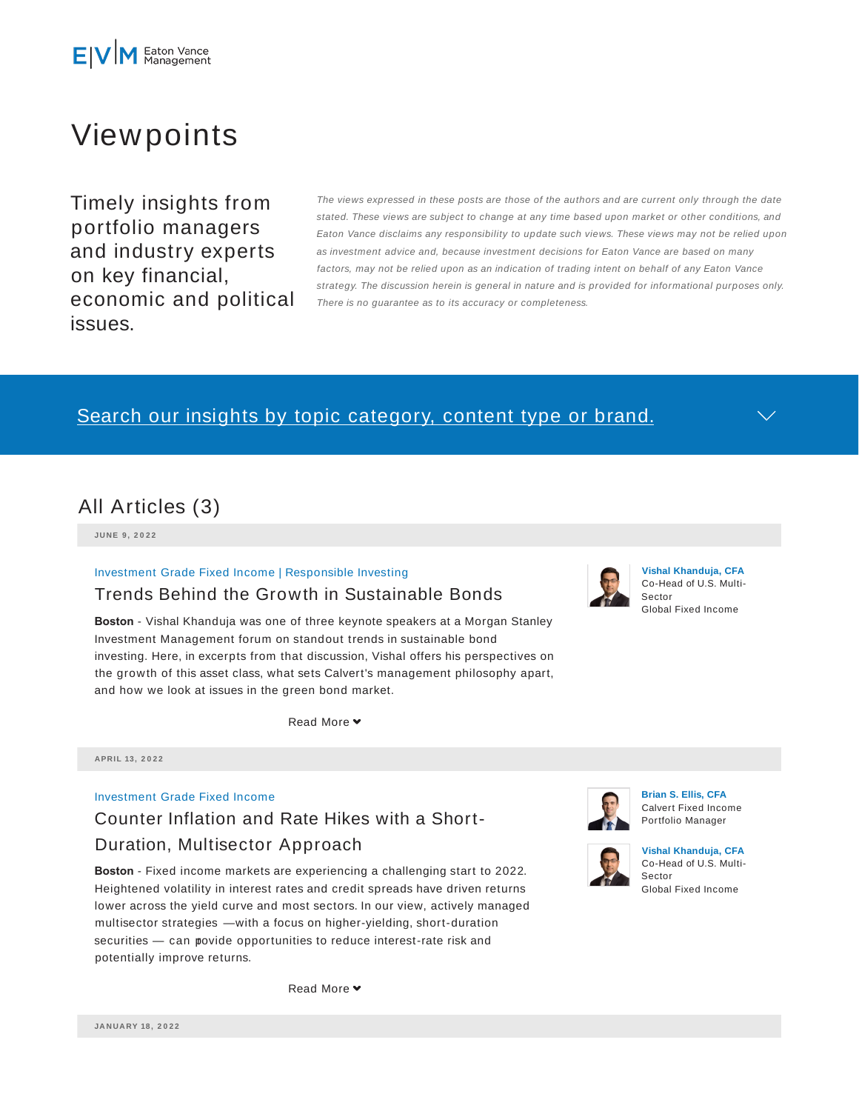

# Viewpoints

Timely insights from portfolio managers and industry experts on key financial, economic and political issues.

The views expressed in these posts are those of the authors and are current only through the date stated. These views are subject to change at any time based upon market or other conditions, and Eaton Vance disclaims any responsibility to update such views. These views may not be relied upon as investment advice and, because investment decisions for Eaton Vance are based on many factors, may not be relied upon as an indication of trading intent on behalf of any Eaton Vance strategy. The discussion herein is general in nature and is provided for informational purposes only. There is no guarantee as to its accuracy or completeness.

## Search our insights by topic category, content type or brand.



**JU N E 9 , 2 0 2 2**

#### Investment Grade Fixed Income | Responsible Investing

### Trends Behind the Growth in Sustainable Bonds

**Boston** - Vishal Khanduja was one of three keynote speakers at a Morgan Stanley Investment Management forum on standout trends in sustainable bond investing. Here, in excerpts from that discussion, Vishal offers his perspectives on the growth of this asset class, what sets Calvert's management philosophy apart, and how we look at issues in the green bond market.

Read More

**APRIL 13 , 2 0 2 2**

#### Investment Grade Fixed Income

# Counter Inflation and Rate Hikes with a Short-Duration, Multisector Approach

**Boston** - Fixed income markets are experiencing a challenging start to 2022. Heightened volatility in interest rates and credit spreads have driven returns lower across the yield curve and most sectors. In our view, actively managed multisector strategies — with a focus on higher-yielding, short-duration securities - can povide opportunities to reduce interest-rate risk and potentially improve returns.

Read More  $\blacktriangleright$ 



**Brian S. Ellis, CFA** Calvert Fixed Income Portfolio Manager

**Vishal Khanduja, CFA** Co-Head of U.S. Multi-

Global Fixed Income

Sector



**Vishal Khanduja, CFA** Co-Head of U.S. Multi-Sector Global Fixed Income